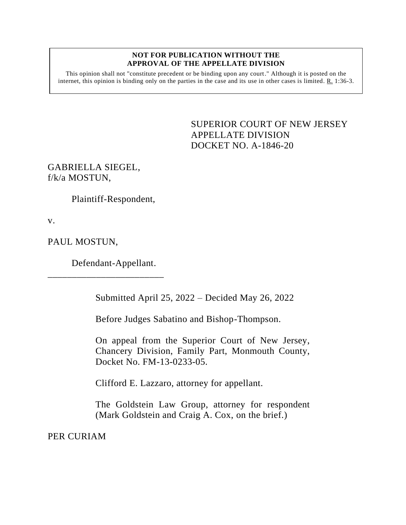#### **NOT FOR PUBLICATION WITHOUT THE APPROVAL OF THE APPELLATE DIVISION**

This opinion shall not "constitute precedent or be binding upon any court." Although it is posted on the internet, this opinion is binding only on the parties in the case and its use in other cases is limited. R. 1:36-3.

> <span id="page-0-0"></span>SUPERIOR COURT OF NEW JERSEY APPELLATE DIVISION DOCKET NO. A-1846-20

GABRIELLA SIEGEL, f/k/a MOSTUN,

Plaintiff-Respondent,

v.

PAUL MOSTUN,

Defendant-Appellant.

\_\_\_\_\_\_\_\_\_\_\_\_\_\_\_\_\_\_\_\_\_\_\_\_

Submitted April 25, 2022 – Decided May 26, 2022

Before Judges Sabatino and Bishop-Thompson.

On appeal from the Superior Court of New Jersey, Chancery Division, Family Part, Monmouth County, Docket No. FM-13-0233-05.

Clifford E. Lazzaro, attorney for appellant.

The Goldstein Law Group, attorney for respondent (Mark Goldstein and Craig A. Cox, on the brief.)

PER CURIAM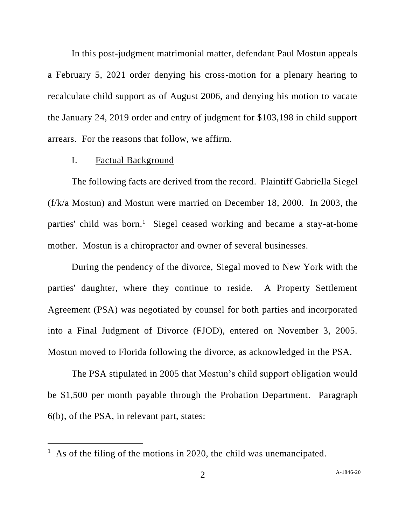In this post-judgment matrimonial matter, defendant Paul Mostun appeals a February 5, 2021 order denying his cross-motion for a plenary hearing to recalculate child support as of August 2006, and denying his motion to vacate the January 24, 2019 order and entry of judgment for \$103,198 in child support arrears. For the reasons that follow, we affirm.

## I. Factual Background

The following facts are derived from the record. Plaintiff Gabriella Siegel (f/k/a Mostun) and Mostun were married on December 18, 2000. In 2003, the parties' child was born.<sup>1</sup> Siegel ceased working and became a stay-at-home mother. Mostun is a chiropractor and owner of several businesses.

During the pendency of the divorce, Siegal moved to New York with the parties' daughter, where they continue to reside. A Property Settlement Agreement (PSA) was negotiated by counsel for both parties and incorporated into a Final Judgment of Divorce (FJOD), entered on November 3, 2005. Mostun moved to Florida following the divorce, as acknowledged in the PSA.

The PSA stipulated in 2005 that Mostun's child support obligation would be \$1,500 per month payable through the Probation Department. Paragraph 6(b), of the PSA, in relevant part, states:

<sup>&</sup>lt;sup>1</sup> As of the filing of the motions in 2020, the child was unemancipated.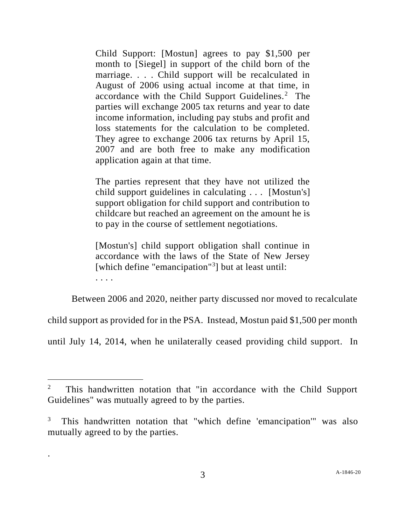Child Support: [Mostun] agrees to pay \$1,500 per month to [Siegel] in support of the child born of the marriage. . . . Child support will be recalculated in August of 2006 using actual income at that time, in accordance with the Child Support Guidelines.<sup>2</sup> The parties will exchange 2005 tax returns and year to date income information, including pay stubs and profit and loss statements for the calculation to be completed. They agree to exchange 2006 tax returns by April 15, 2007 and are both free to make any modification application again at that time.

The parties represent that they have not utilized the child support guidelines in calculating . . . [Mostun's] support obligation for child support and contribution to childcare but reached an agreement on the amount he is to pay in the course of settlement negotiations.

[Mostun's] child support obligation shall continue in accordance with the laws of the State of New Jersey [which define "emancipation"<sup>3</sup>] but at least until: . . . .

Between 2006 and 2020, neither party discussed nor moved to recalculate

child support as provided for in the PSA. Instead, Mostun paid \$1,500 per month

until July 14, 2014, when he unilaterally ceased providing child support. In

.

<sup>2</sup> This handwritten notation that "in accordance with the Child Support Guidelines" was mutually agreed to by the parties.

<sup>3</sup> This handwritten notation that "which define 'emancipation'" was also mutually agreed to by the parties.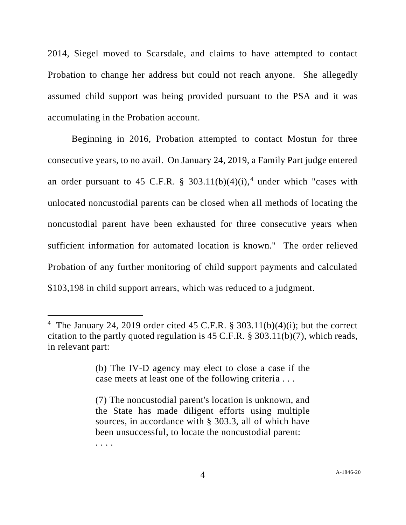2014, Siegel moved to Scarsdale, and claims to have attempted to contact Probation to change her address but could not reach anyone. She allegedly assumed child support was being provided pursuant to the PSA and it was accumulating in the Probation account.

Beginning in 2016, Probation attempted to contact Mostun for three consecutive years, to no avail. On January 24, 2019, a Family Part judge entered an order pursuant to 45 C.F.R. § 303.11(b)(4)(i),<sup>4</sup> under which "cases with unlocated noncustodial parents can be closed when all methods of locating the noncustodial parent have been exhausted for three consecutive years when sufficient information for automated location is known." The order relieved Probation of any further monitoring of child support payments and calculated \$103,198 in child support arrears, which was reduced to a judgment.

. . . .

<sup>&</sup>lt;sup>4</sup> The January 24, 2019 order cited 45 C.F.R. § 303.11(b)(4)(i); but the correct citation to the partly quoted regulation is 45 C.F.R. § 303.11(b)(7), which reads, in relevant part:

<sup>(</sup>b) The IV-D agency may elect to close a case if the case meets at least one of the following criteria . . .

<sup>(7)</sup> The noncustodial parent's location is unknown, and the State has made diligent efforts using multiple sources, in accordance with § 303.3, all of which have been unsuccessful, to locate the noncustodial parent: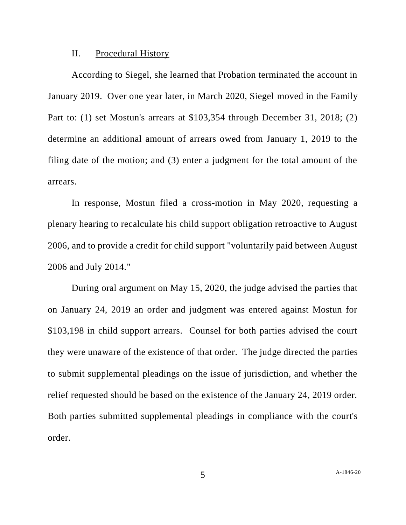#### II. Procedural History

According to Siegel, she learned that Probation terminated the account in January 2019. Over one year later, in March 2020, Siegel moved in the Family Part to: (1) set Mostun's arrears at \$103,354 through December 31, 2018; (2) determine an additional amount of arrears owed from January 1, 2019 to the filing date of the motion; and (3) enter a judgment for the total amount of the arrears.

In response, Mostun filed a cross-motion in May 2020, requesting a plenary hearing to recalculate his child support obligation retroactive to August 2006, and to provide a credit for child support "voluntarily paid between August 2006 and July 2014."

During oral argument on May 15, 2020, the judge advised the parties that on January 24, 2019 an order and judgment was entered against Mostun for \$103,198 in child support arrears. Counsel for both parties advised the court they were unaware of the existence of that order. The judge directed the parties to submit supplemental pleadings on the issue of jurisdiction, and whether the relief requested should be based on the existence of the January 24, 2019 order. Both parties submitted supplemental pleadings in compliance with the court's order.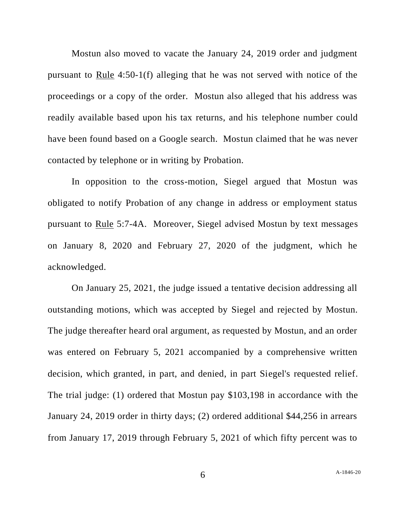Mostun also moved to vacate the January 24, 2019 order and judgment pursuant to Rule 4:50-1(f) alleging that he was not served with notice of the proceedings or a copy of the order. Mostun also alleged that his address was readily available based upon his tax returns, and his telephone number could have been found based on a Google search. Mostun claimed that he was never contacted by telephone or in writing by Probation.

In opposition to the cross-motion, Siegel argued that Mostun was obligated to notify Probation of any change in address or employment status pursuant to Rule 5:7-4A. Moreover, Siegel advised Mostun by text messages on January 8, 2020 and February 27, 2020 of the judgment, which he acknowledged.

On January 25, 2021, the judge issued a tentative decision addressing all outstanding motions, which was accepted by Siegel and rejected by Mostun. The judge thereafter heard oral argument, as requested by Mostun, and an order was entered on February 5, 2021 accompanied by a comprehensive written decision, which granted, in part, and denied, in part Siegel's requested relief. The trial judge: (1) ordered that Mostun pay \$103,198 in accordance with the January 24, 2019 order in thirty days; (2) ordered additional \$44,256 in arrears from January 17, 2019 through February 5, 2021 of which fifty percent was to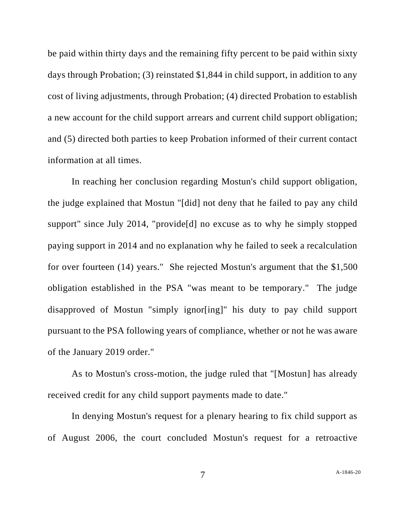be paid within thirty days and the remaining fifty percent to be paid within sixty days through Probation; (3) reinstated \$1,844 in child support, in addition to any cost of living adjustments, through Probation; (4) directed Probation to establish a new account for the child support arrears and current child support obligation; and (5) directed both parties to keep Probation informed of their current contact information at all times.

In reaching her conclusion regarding Mostun's child support obligation, the judge explained that Mostun "[did] not deny that he failed to pay any child support" since July 2014, "provide[d] no excuse as to why he simply stopped paying support in 2014 and no explanation why he failed to seek a recalculation for over fourteen (14) years." She rejected Mostun's argument that the \$1,500 obligation established in the PSA "was meant to be temporary." The judge disapproved of Mostun "simply ignor[ing]" his duty to pay child support pursuant to the PSA following years of compliance, whether or not he was aware of the January 2019 order."

As to Mostun's cross-motion, the judge ruled that "[Mostun] has already received credit for any child support payments made to date."

In denying Mostun's request for a plenary hearing to fix child support as of August 2006, the court concluded Mostun's request for a retroactive

7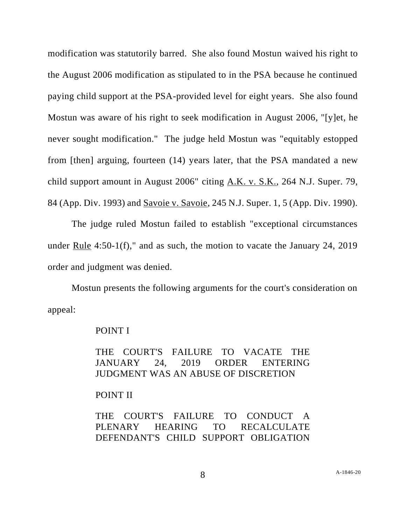modification was statutorily barred. She also found Mostun waived his right to the August 2006 modification as stipulated to in the PSA because he continued paying child support at the PSA-provided level for eight years. She also found Mostun was aware of his right to seek modification in August 2006, "[y]et, he never sought modification." The judge held Mostun was "equitably estopped from [then] arguing, fourteen (14) years later, that the PSA mandated a new child support amount in August 2006" citing A.K. v. S.K., 264 N.J. Super. 79, 84 (App. Div. 1993) and Savoie v. Savoie, 245 N.J. Super. 1, 5 (App. Div. 1990).

The judge ruled Mostun failed to establish "exceptional circumstances under Rule 4:50-1(f)," and as such, the motion to vacate the January 24, 2019 order and judgment was denied.

Mostun presents the following arguments for the court's consideration on appeal:

#### POINT I

THE COURT'S FAILURE TO VACATE THE JANUARY 24, 2019 ORDER ENTERING JUDGMENT WAS AN ABUSE OF DISCRETION

# POINT II

THE COURT'S FAILURE TO CONDUCT A PLENARY HEARING TO RECALCULATE DEFENDANT'S CHILD SUPPORT OBLIGATION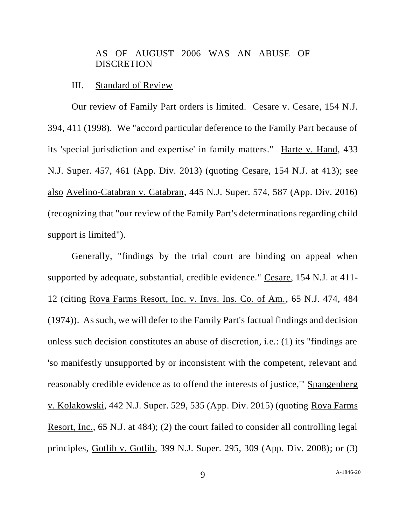# AS OF AUGUST 2006 WAS AN ABUSE OF **DISCRETION**

# III. Standard of Review

Our review of Family Part orders is limited. Cesare v. Cesare, 154 N.J. 394, 411 (1998). We "accord particular deference to the Family Part because of its 'special jurisdiction and expertise' in family matters." Harte v. Hand, 433 N.J. Super. 457, 461 (App. Div. 2013) (quoting Cesare, 154 N.J. at 413); see also Avelino-Catabran v. Catabran, 445 N.J. Super. 574, 587 (App. Div. 2016) (recognizing that "our review of the Family Part's determinations regarding child support is limited").

Generally, "findings by the trial court are binding on appeal when supported by adequate, substantial, credible evidence." Cesare, 154 N.J. at 411- 12 (citing Rova Farms Resort, Inc. v. Invs. Ins. Co. of Am., 65 N.J. 474, 484 (1974)). As such, we will defer to the Family Part's factual findings and decision unless such decision constitutes an abuse of discretion, i.e.: (1) its "findings are 'so manifestly unsupported by or inconsistent with the competent, relevant and reasonably credible evidence as to offend the interests of justice,'" Spangenberg v. Kolakowski, 442 N.J. Super. 529, 535 (App. Div. 2015) (quoting Rova Farms Resort, Inc., 65 N.J. at 484); (2) the court failed to consider all controlling legal principles, Gotlib v. Gotlib, 399 N.J. Super. 295, 309 (App. Div. 2008); or (3)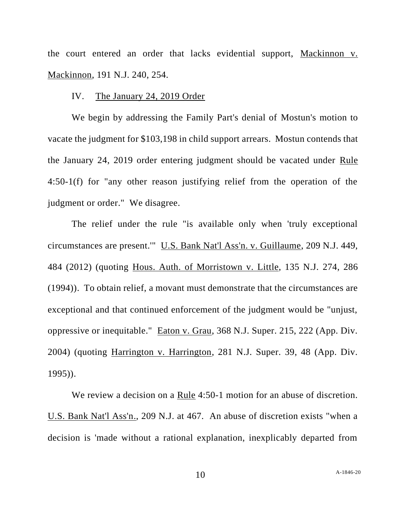the court entered an order that lacks evidential support, Mackinnon v. Mackinnon, 191 N.J. 240, 254.

# IV. The January 24, 2019 Order

We begin by addressing the Family Part's denial of Mostun's motion to vacate the judgment for \$103,198 in child support arrears. Mostun contends that the January 24, 2019 order entering judgment should be vacated under Rule 4:50-1(f) for "any other reason justifying relief from the operation of the judgment or order." We disagree.

The relief under the rule "is available only when 'truly exceptional circumstances are present.'" U.S. Bank Nat'l Ass'n. v. Guillaume, 209 N.J. 449, 484 (2012) (quoting Hous. Auth. of Morristown v. Little, 135 N.J. 274, 286 (1994)). To obtain relief, a movant must demonstrate that the circumstances are exceptional and that continued enforcement of the judgment would be "unjust, oppressive or inequitable." Eaton v. Grau, 368 N.J. Super. 215, 222 (App. Div. 2004) (quoting Harrington v. Harrington, 281 N.J. Super. 39, 48 (App. Div. 1995)).

We review a decision on a Rule 4:50-1 motion for an abuse of discretion. U.S. Bank Nat'l Ass'n., 209 N.J. at 467. An abuse of discretion exists "when a decision is 'made without a rational explanation, inexplicably departed from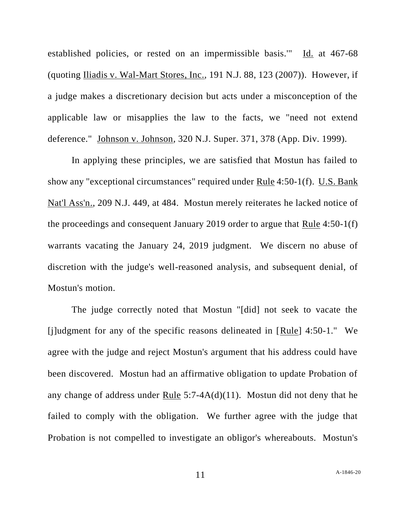established policies, or rested on an impermissible basis.'" Id. at 467-68 (quoting Iliadis v. Wal-Mart Stores, Inc., 191 N.J. 88, 123 (2007)). However, if a judge makes a discretionary decision but acts under a misconception of the applicable law or misapplies the law to the facts, we "need not extend deference." Johnson v. Johnson, 320 N.J. Super. 371, 378 (App. Div. 1999).

In applying these principles, we are satisfied that Mostun has failed to show any "exceptional circumstances" required under Rule 4:50-1(f). U.S. Bank Nat'l Ass'n., 209 N.J. 449, at 484. Mostun merely reiterates he lacked notice of the proceedings and consequent January 2019 order to argue that Rule 4:50-1(f) warrants vacating the January 24, 2019 judgment. We discern no abuse of discretion with the judge's well-reasoned analysis, and subsequent denial, of Mostun's motion.

The judge correctly noted that Mostun "[did] not seek to vacate the [j]udgment for any of the specific reasons delineated in  $[Rule]$  4:50-1." We agree with the judge and reject Mostun's argument that his address could have been discovered. Mostun had an affirmative obligation to update Probation of any change of address under Rule  $5:7-4A(d)(11)$ . Mostun did not deny that he failed to comply with the obligation. We further agree with the judge that Probation is not compelled to investigate an obligor's whereabouts. Mostun's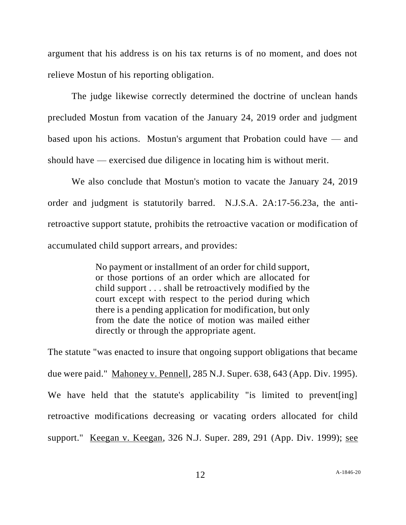argument that his address is on his tax returns is of no moment, and does not relieve Mostun of his reporting obligation.

The judge likewise correctly determined the doctrine of unclean hands precluded Mostun from vacation of the January 24, 2019 order and judgment based upon his actions. Mostun's argument that Probation could have — and should have — exercised due diligence in locating him is without merit.

We also conclude that Mostun's motion to vacate the January 24, 2019 order and judgment is statutorily barred. N.J.S.A. 2A:17-56.23a, the antiretroactive support statute, prohibits the retroactive vacation or modification of accumulated child support arrears, and provides:

> No payment or installment of an order for child support, or those portions of an order which are allocated for child support . . . shall be retroactively modified by the court except with respect to the period during which there is a pending application for modification, but only from the date the notice of motion was mailed either directly or through the appropriate agent.

The statute "was enacted to insure that ongoing support obligations that became due were paid." Mahoney v. Pennell, 285 N.J. Super. 638, 643 (App. Div. 1995). We have held that the statute's applicability "is limited to prevent [ing] retroactive modifications decreasing or vacating orders allocated for child support." Keegan v. Keegan, 326 N.J. Super. 289, 291 (App. Div. 1999); see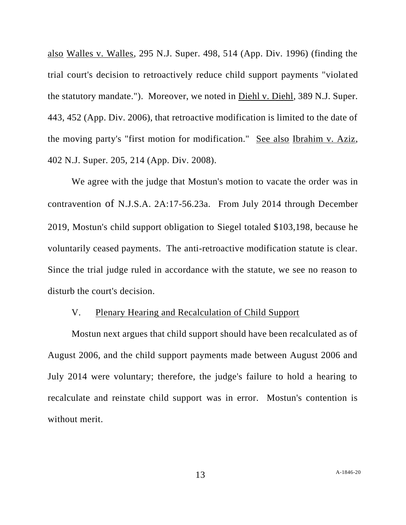also Walles v. Walles, 295 N.J. Super. 498, 514 (App. Div. 1996) (finding the trial court's decision to retroactively reduce child support payments "violated the statutory mandate."). Moreover, we noted in Diehl v. Diehl, 389 N.J. Super. 443, 452 (App. Div. 2006), that retroactive modification is limited to the date of the moving party's "first motion for modification." See also Ibrahim v. Aziz, 402 N.J. Super. 205, 214 (App. Div. 2008).

We agree with the judge that Mostun's motion to vacate the order was in contravention of N.J.S.A. 2A:17-56.23a. From July 2014 through December 2019, Mostun's child support obligation to Siegel totaled \$103,198, because he voluntarily ceased payments. The anti-retroactive modification statute is clear. Since the trial judge ruled in accordance with the statute, we see no reason to disturb the court's decision.

### V. Plenary Hearing and Recalculation of Child Support

Mostun next argues that child support should have been recalculated as of August 2006, and the child support payments made between August 2006 and July 2014 were voluntary; therefore, the judge's failure to hold a hearing to recalculate and reinstate child support was in error. Mostun's contention is without merit.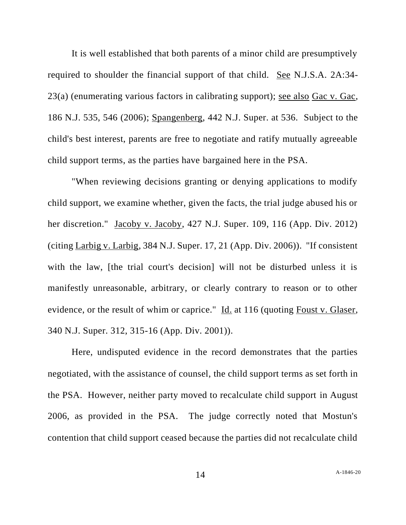It is well established that both parents of a minor child are presumptively required to shoulder the financial support of that child. See N.J.S.A. 2A:34- 23(a) (enumerating various factors in calibrating support); see also Gac v. Gac, 186 N.J. 535, 546 (2006); Spangenberg, 442 N.J. Super. at 536. Subject to the child's best interest, parents are free to negotiate and ratify mutually agreeable child support terms, as the parties have bargained here in the PSA.

"When reviewing decisions granting or denying applications to modify child support, we examine whether, given the facts, the trial judge abused his or her discretion." Jacoby v. Jacoby, 427 N.J. Super. 109, 116 (App. Div. 2012) (citing Larbig v. Larbig, 384 N.J. Super. 17, 21 (App. Div. 2006)). "If consistent with the law, [the trial court's decision] will not be disturbed unless it is manifestly unreasonable, arbitrary, or clearly contrary to reason or to other evidence, or the result of whim or caprice." Id. at 116 (quoting Foust v. Glaser, 340 N.J. Super. 312, 315-16 (App. Div. 2001)).

Here, undisputed evidence in the record demonstrates that the parties negotiated, with the assistance of counsel, the child support terms as set forth in the PSA. However, neither party moved to recalculate child support in August 2006, as provided in the PSA. The judge correctly noted that Mostun's contention that child support ceased because the parties did not recalculate child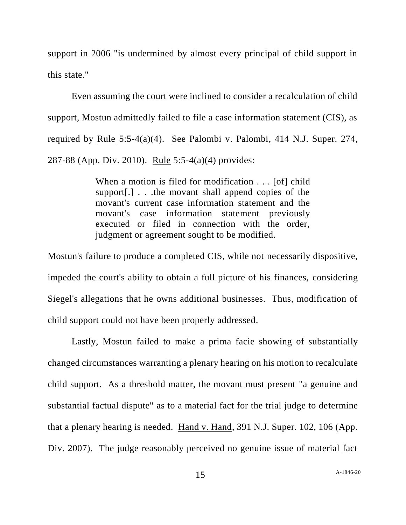support in 2006 "is undermined by almost every principal of child support in this state."

Even assuming the court were inclined to consider a recalculation of child support, Mostun admittedly failed to file a case information statement (CIS), as required by Rule 5:5-4(a)(4). See Palombi v. Palombi, 414 N.J. Super. 274, 287-88 (App. Div. 2010). Rule 5:5-4(a)(4) provides:

> When a motion is filed for modification . . . [of] child support[.] . . .the movant shall append copies of the movant's current case information statement and the movant's case information statement previously executed or filed in connection with the order, judgment or agreement sought to be modified.

Mostun's failure to produce a completed CIS, while not necessarily dispositive, impeded the court's ability to obtain a full picture of his finances, considering Siegel's allegations that he owns additional businesses. Thus, modification of child support could not have been properly addressed.

Lastly, Mostun failed to make a prima facie showing of substantially changed circumstances warranting a plenary hearing on his motion to recalculate child support. As a threshold matter, the movant must present "a genuine and substantial factual dispute" as to a material fact for the trial judge to determine that a plenary hearing is needed. Hand v. Hand, 391 N.J. Super. 102, 106 (App. Div. 2007). The judge reasonably perceived no genuine issue of material fact